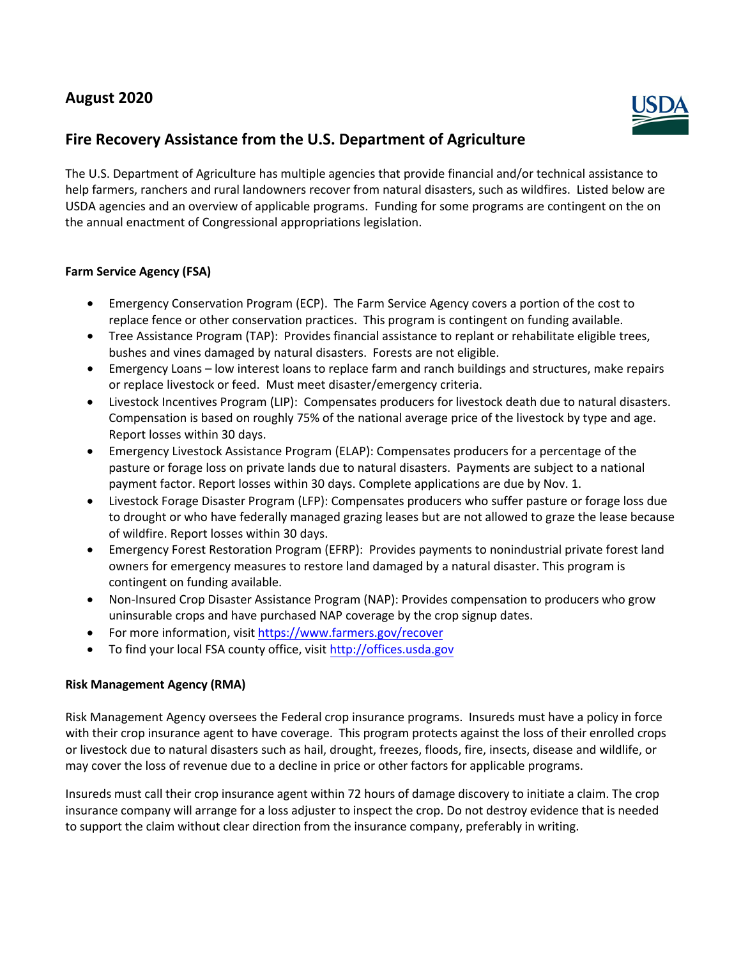# **August 2020**



# **Fire Recovery Assistance from the U.S. Department of Agriculture**

The U.S. Department of Agriculture has multiple agencies that provide financial and/or technical assistance to help farmers, ranchers and rural landowners recover from natural disasters, such as wildfires. Listed below are USDA agencies and an overview of applicable programs. Funding for some programs are contingent on the on the annual enactment of Congressional appropriations legislation.

### **Farm Service Agency (FSA)**

- Emergency Conservation Program (ECP). The Farm Service Agency covers a portion of the cost to replace fence or other conservation practices. This program is contingent on funding available.
- Tree Assistance Program (TAP): Provides financial assistance to replant or rehabilitate eligible trees, bushes and vines damaged by natural disasters. Forests are not eligible.
- Emergency Loans low interest loans to replace farm and ranch buildings and structures, make repairs or replace livestock or feed. Must meet disaster/emergency criteria.
- Livestock Incentives Program (LIP): Compensates producers for livestock death due to natural disasters. Compensation is based on roughly 75% of the national average price of the livestock by type and age. Report losses within 30 days.
- Emergency Livestock Assistance Program (ELAP): Compensates producers for a percentage of the pasture or forage loss on private lands due to natural disasters. Payments are subject to a national payment factor. Report losses within 30 days. Complete applications are due by Nov. 1.
- Livestock Forage Disaster Program (LFP): Compensates producers who suffer pasture or forage loss due to drought or who have federally managed grazing leases but are not allowed to graze the lease because of wildfire. Report losses within 30 days.
- Emergency Forest Restoration Program (EFRP): Provides payments to nonindustrial private forest land owners for emergency measures to restore land damaged by a natural disaster. This program is contingent on funding available.
- Non-Insured Crop Disaster Assistance Program (NAP): Provides compensation to producers who grow uninsurable crops and have purchased NAP coverage by the crop signup dates.
- For more information, visit [https://www.farmers.gov/recover](https://www.farmers.gov/recover%E2%80%A2To)
- [To fin](https://www.farmers.gov/recover%E2%80%A2To)d your local FSA county office, visit <http://offices.usda.gov>

### **Risk Management Agency (RMA)**

Risk Management Agency oversees the Federal crop insurance programs. Insureds must have a policy in force with their crop insurance agent to have coverage. This program protects against the loss of their enrolled crops or livestock due to natural disasters such as hail, drought, freezes, floods, fire, insects, disease and wildlife, or may cover the loss of revenue due to a decline in price or other factors for applicable programs.

Insureds must call their crop insurance agent within 72 hours of damage discovery to initiate a claim. The crop insurance company will arrange for a loss adjuster to inspect the crop. Do not destroy evidence that is needed to support the claim without clear direction from the insurance company, preferably in writing.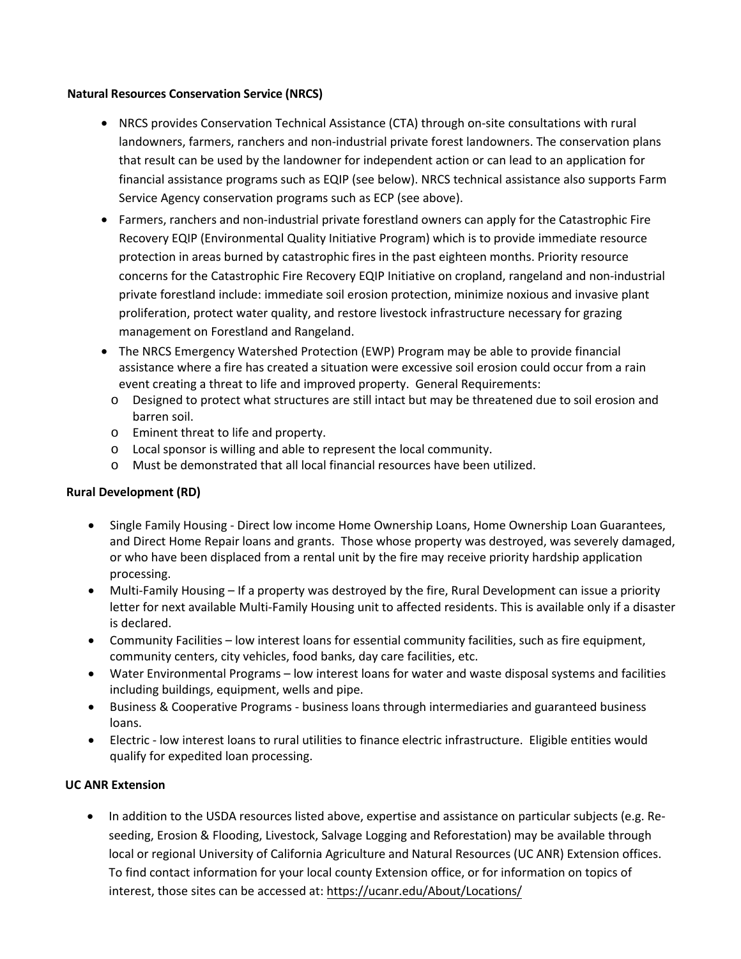#### **Natural Resources Conservation Service (NRCS)**

- NRCS provides Conservation Technical Assistance (CTA) through on-site consultations with rural landowners, farmers, ranchers and non-industrial private forest landowners. The conservation plans that result can be used by the landowner for independent action or can lead to an application for financial assistance programs such as EQIP (see below). NRCS technical assistance also supports Farm Service Agency conservation programs such as ECP (see above).
- Farmers, ranchers and non-industrial private forestland owners can apply for the Catastrophic Fire Recovery EQIP (Environmental Quality Initiative Program) which is to provide immediate resource protection in areas burned by catastrophic fires in the past eighteen months. Priority resource concerns for the Catastrophic Fire Recovery EQIP Initiative on cropland, rangeland and non-industrial private forestland include: immediate soil erosion protection, minimize noxious and invasive plant proliferation, protect water quality, and restore livestock infrastructure necessary for grazing management on Forestland and Rangeland.
- The NRCS Emergency Watershed Protection (EWP) Program may be able to provide financial assistance where a fire has created a situation were excessive soil erosion could occur from a rain event creating a threat to life and improved property. General Requirements:
	- o Designed to protect what structures are still intact but may be threatened due to soil erosion and barren soil.
	- o Eminent threat to life and property.
	- o Local sponsor is willing and able to represent the local community.
	- o Must be demonstrated that all local financial resources have been utilized.

### **Rural Development (RD)**

- Single Family Housing Direct low income Home Ownership Loans, Home Ownership Loan Guarantees, and Direct Home Repair loans and grants. Those whose property was destroyed, was severely damaged, or who have been displaced from a rental unit by the fire may receive priority hardship application processing.
- Multi-Family Housing If a property was destroyed by the fire, Rural Development can issue a priority letter for next available Multi-Family Housing unit to affected residents. This is available only if a disaster is declared.
- Community Facilities low interest loans for essential community facilities, such as fire equipment, community centers, city vehicles, food banks, day care facilities, etc.
- Water Environmental Programs low interest loans for water and waste disposal systems and facilities including buildings, equipment, wells and pipe.
- Business & Cooperative Programs business loans through intermediaries and guaranteed business loans.
- Electric low interest loans to rural utilities to finance electric infrastructure. Eligible entities would qualify for expedited loan processing.

### **UC ANR Extension**

• In addition to the USDA resources listed above, expertise and assistance on particular subjects (e.g. Reseeding, Erosion & Flooding, Livestock, Salvage Logging and Reforestation) may be available through local or regional University of California Agriculture and Natural Resources (UC ANR) Extension offices. To find contact information for your local county Extension office, or for information on topics of interest, those sites can be accessed at: <https://ucanr.edu/About/Locations/>